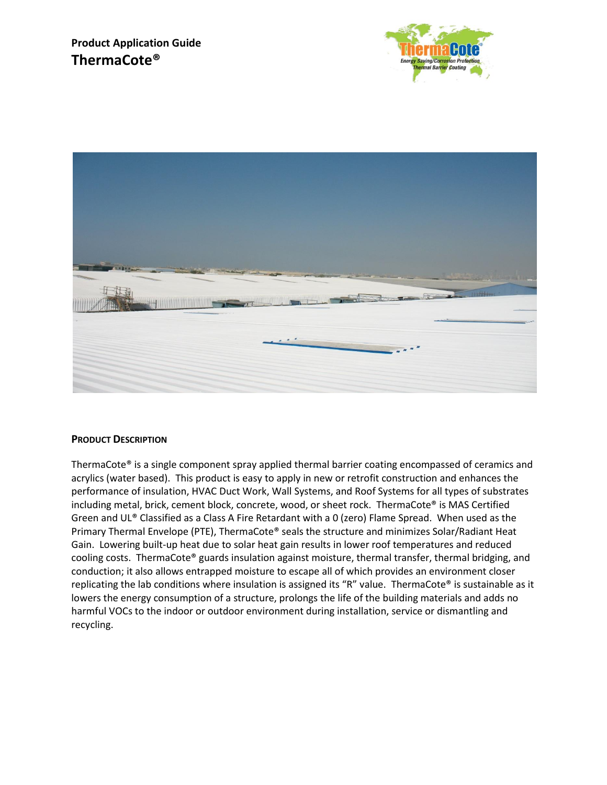



## **PRODUCT DESCRIPTION**

ThermaCote® is a single component spray applied thermal barrier coating encompassed of ceramics and acrylics (water based). This product is easy to apply in new or retrofit construction and enhances the performance of insulation, HVAC Duct Work, Wall Systems, and Roof Systems for all types of substrates including metal, brick, cement block, concrete, wood, or sheet rock. ThermaCote® is MAS Certified Green and UL® Classified as a Class A Fire Retardant with a 0 (zero) Flame Spread. When used as the Primary Thermal Envelope (PTE), ThermaCote® seals the structure and minimizes Solar/Radiant Heat Gain. Lowering built-up heat due to solar heat gain results in lower roof temperatures and reduced cooling costs. ThermaCote® guards insulation against moisture, thermal transfer, thermal bridging, and conduction; it also allows entrapped moisture to escape all of which provides an environment closer replicating the lab conditions where insulation is assigned its "R" value. ThermaCote® is sustainable as it lowers the energy consumption of a structure, prolongs the life of the building materials and adds no harmful VOCs to the indoor or outdoor environment during installation, service or dismantling and recycling.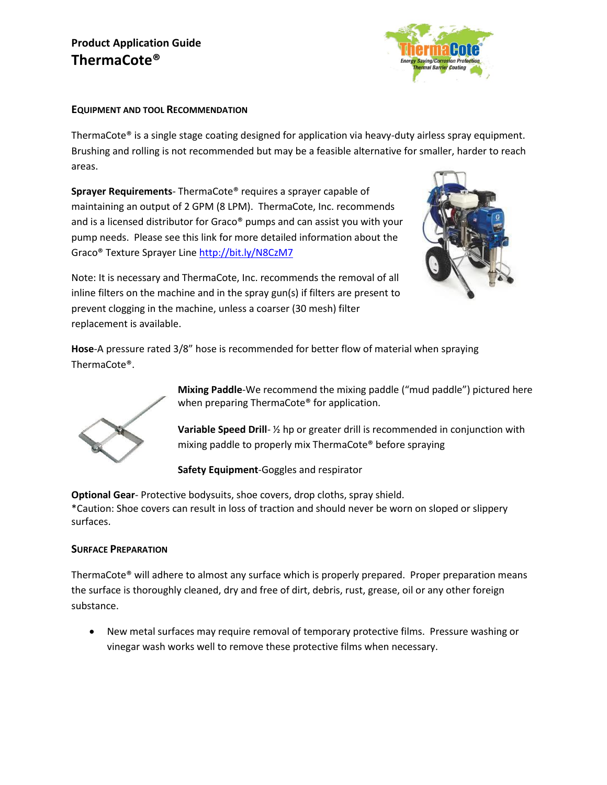# **Product Application Guide ThermaCote®**



#### **EQUIPMENT AND TOOL RECOMMENDATION**

ThermaCote® is a single stage coating designed for application via heavy-duty airless spray equipment. Brushing and rolling is not recommended but may be a feasible alternative for smaller, harder to reach areas.

**Sprayer Requirements**- ThermaCote® requires a sprayer capable of maintaining an output of 2 GPM (8 LPM). ThermaCote, Inc. recommends and is a licensed distributor for Graco® pumps and can assist you with your pump needs. Please see this link for more detailed information about the Graco® Texture Sprayer Line<http://bit.ly/N8CzM7>



Note: It is necessary and ThermaCote, Inc. recommends the removal of all inline filters on the machine and in the spray gun(s) if filters are present to prevent clogging in the machine, unless a coarser (30 mesh) filter replacement is available.

**Hose**-A pressure rated 3/8" hose is recommended for better flow of material when spraying ThermaCote®.



**Mixing Paddle**-We recommend the mixing paddle ("mud paddle") pictured here when preparing ThermaCote® for application.

**Variable Speed Drill**- ½ hp or greater drill is recommended in conjunction with mixing paddle to properly mix ThermaCote® before spraying

**Safety Equipment**-Goggles and respirator

**Optional Gear**- Protective bodysuits, shoe covers, drop cloths, spray shield. \*Caution: Shoe covers can result in loss of traction and should never be worn on sloped or slippery surfaces.

## **SURFACE PREPARATION**

ThermaCote® will adhere to almost any surface which is properly prepared. Proper preparation means the surface is thoroughly cleaned, dry and free of dirt, debris, rust, grease, oil or any other foreign substance.

 New metal surfaces may require removal of temporary protective films. Pressure washing or vinegar wash works well to remove these protective films when necessary.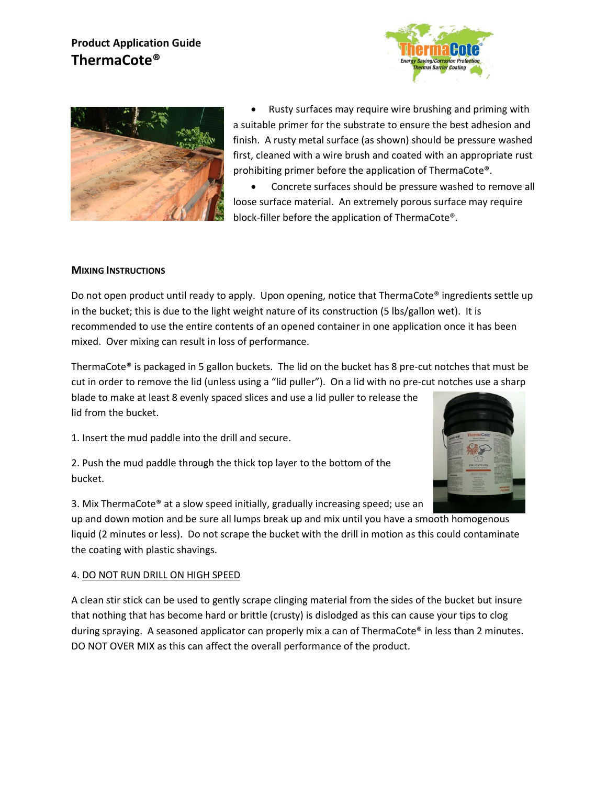# **Product Application Guide ThermaCote®**





 Rusty surfaces may require wire brushing and priming with a suitable primer for the substrate to ensure the best adhesion and finish. A rusty metal surface (as shown) should be pressure washed first, cleaned with a wire brush and coated with an appropriate rust prohibiting primer before the application of ThermaCote®.

 Concrete surfaces should be pressure washed to remove all loose surface material. An extremely porous surface may require block-filler before the application of ThermaCote®.

#### **MIXING INSTRUCTIONS**

Do not open product until ready to apply. Upon opening, notice that ThermaCote® ingredients settle up in the bucket; this is due to the light weight nature of its construction (5 lbs/gallon wet). It is recommended to use the entire contents of an opened container in one application once it has been mixed. Over mixing can result in loss of performance.

ThermaCote® is packaged in 5 gallon buckets. The lid on the bucket has 8 pre-cut notches that must be cut in order to remove the lid (unless using a "lid puller"). On a lid with no pre-cut notches use a sharp blade to make at least 8 evenly spaced slices and use a lid puller to release the lid from the bucket.

1. Insert the mud paddle into the drill and secure.

2. Push the mud paddle through the thick top layer to the bottom of the bucket.



3. Mix ThermaCote® at a slow speed initially, gradually increasing speed; use an

up and down motion and be sure all lumps break up and mix until you have a smooth homogenous liquid (2 minutes or less). Do not scrape the bucket with the drill in motion as this could contaminate the coating with plastic shavings.

#### 4. DO NOT RUN DRILL ON HIGH SPEED

A clean stir stick can be used to gently scrape clinging material from the sides of the bucket but insure that nothing that has become hard or brittle (crusty) is dislodged as this can cause your tips to clog during spraying. A seasoned applicator can properly mix a can of ThermaCote® in less than 2 minutes. DO NOT OVER MIX as this can affect the overall performance of the product.